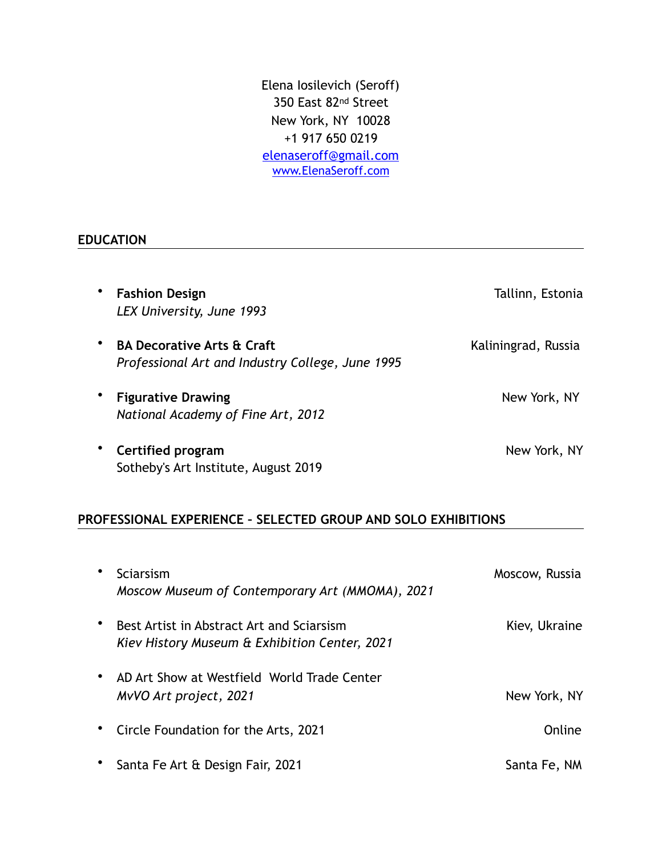Elena Iosilevich (Seroff) 350 East 82nd Street New York, NY 10028 +1 917 650 0219 [elenaseroff@gmail.com](mailto:elena.iosilevich@gmail.com) [www.ElenaSeroff.com](http://www.ElenaSeroff.com)

#### **EDUCATION**

| ٠         | <b>Fashion Design</b><br>LEX University, June 1993                                        | Tallinn, Estonia    |
|-----------|-------------------------------------------------------------------------------------------|---------------------|
| ٠         | <b>BA Decorative Arts &amp; Craft</b><br>Professional Art and Industry College, June 1995 | Kaliningrad, Russia |
| $\bullet$ | <b>Figurative Drawing</b><br>National Academy of Fine Art, 2012                           | New York, NY        |
| $\bullet$ | Certified program<br>Sotheby's Art Institute, August 2019                                 | New York, NY        |

# **PROFESSIONAL EXPERIENCE – SELECTED GROUP AND SOLO EXHIBITIONS**

| Sciarsism<br>Moscow Museum of Contemporary Art (MMOMA), 2021                               | Moscow, Russia |
|--------------------------------------------------------------------------------------------|----------------|
| Best Artist in Abstract Art and Sciarsism<br>Kiev History Museum & Exhibition Center, 2021 | Kiev, Ukraine  |
| AD Art Show at Westfield World Trade Center<br>MvVO Art project, 2021                      | New York, NY   |
| Circle Foundation for the Arts, 2021                                                       | Online         |
| Santa Fe Art & Design Fair, 2021                                                           | Santa Fe, NM   |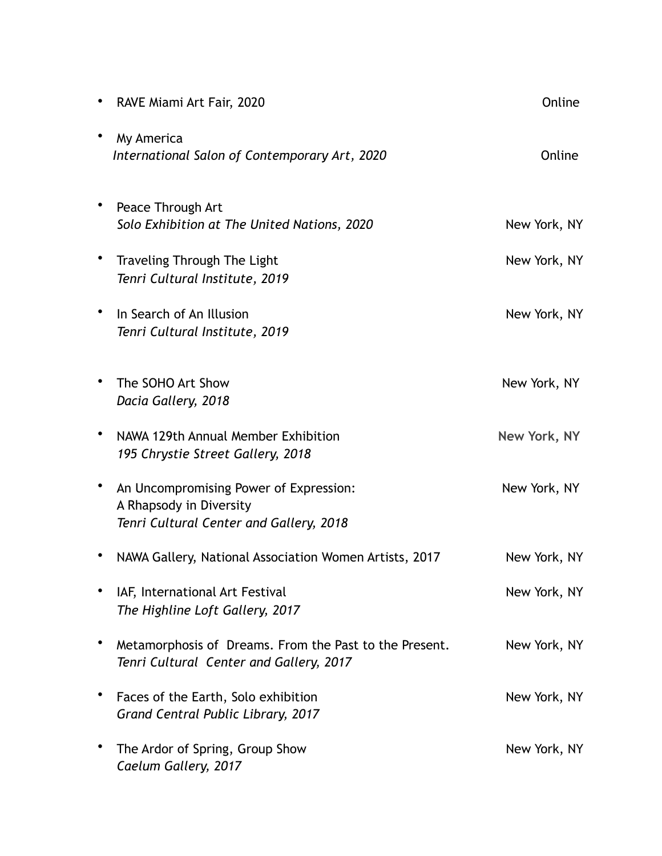| RAVE Miami Art Fair, 2020                                                                                    | Online       |
|--------------------------------------------------------------------------------------------------------------|--------------|
| My America<br>International Salon of Contemporary Art, 2020                                                  | Online       |
| Peace Through Art<br>Solo Exhibition at The United Nations, 2020                                             | New York, NY |
| Traveling Through The Light<br>Tenri Cultural Institute, 2019                                                | New York, NY |
| In Search of An Illusion<br>Tenri Cultural Institute, 2019                                                   | New York, NY |
| The SOHO Art Show<br>Dacia Gallery, 2018                                                                     | New York, NY |
| NAWA 129th Annual Member Exhibition<br>195 Chrystie Street Gallery, 2018                                     | New York, NY |
| An Uncompromising Power of Expression:<br>A Rhapsody in Diversity<br>Tenri Cultural Center and Gallery, 2018 | New York, NY |
| NAWA Gallery, National Association Women Artists, 2017                                                       | New York, NY |
| IAF, International Art Festival<br>The Highline Loft Gallery, 2017                                           | New York, NY |
| Metamorphosis of Dreams. From the Past to the Present.<br>Tenri Cultural Center and Gallery, 2017            | New York, NY |
| Faces of the Earth, Solo exhibition<br>Grand Central Public Library, 2017                                    | New York, NY |
| The Ardor of Spring, Group Show<br>Caelum Gallery, 2017                                                      | New York, NY |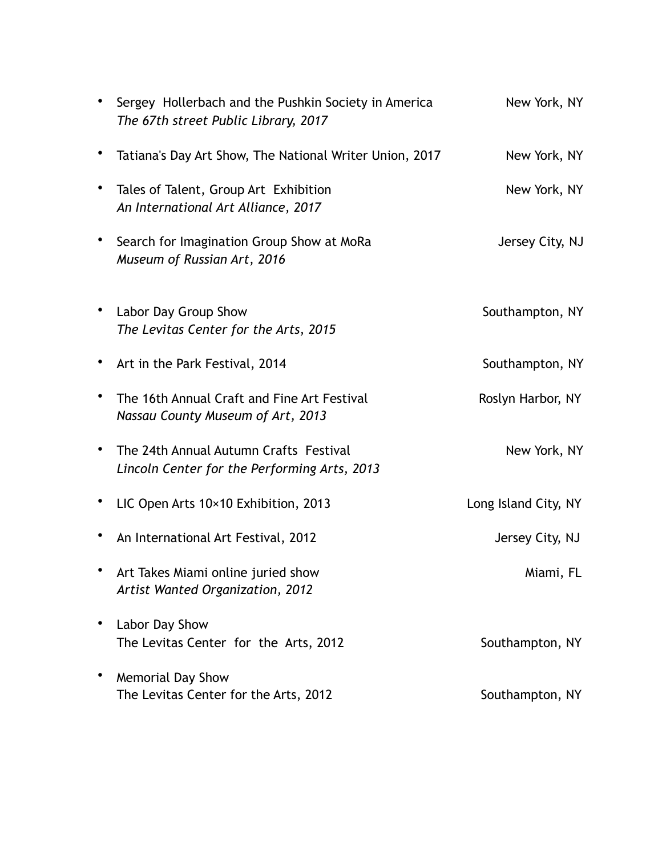|           | Sergey Hollerbach and the Pushkin Society in America<br>The 67th street Public Library, 2017 | New York, NY         |
|-----------|----------------------------------------------------------------------------------------------|----------------------|
|           | Tatiana's Day Art Show, The National Writer Union, 2017                                      | New York, NY         |
| ٠         | Tales of Talent, Group Art Exhibition<br>An International Art Alliance, 2017                 | New York, NY         |
|           | Search for Imagination Group Show at MoRa<br>Museum of Russian Art, 2016                     | Jersey City, NJ      |
| ٠         | Labor Day Group Show<br>The Levitas Center for the Arts, 2015                                | Southampton, NY      |
| ٠         | Art in the Park Festival, 2014                                                               | Southampton, NY      |
| ٠         | The 16th Annual Craft and Fine Art Festival<br>Nassau County Museum of Art, 2013             | Roslyn Harbor, NY    |
| $\bullet$ | The 24th Annual Autumn Crafts Festival<br>Lincoln Center for the Performing Arts, 2013       | New York, NY         |
|           | LIC Open Arts 10×10 Exhibition, 2013                                                         | Long Island City, NY |
|           | An International Art Festival, 2012                                                          | Jersey City, NJ      |
|           | Art Takes Miami online juried show<br>Artist Wanted Organization, 2012                       | Miami, FL            |
|           | Labor Day Show<br>The Levitas Center for the Arts, 2012                                      | Southampton, NY      |
|           | <b>Memorial Day Show</b><br>The Levitas Center for the Arts, 2012                            | Southampton, NY      |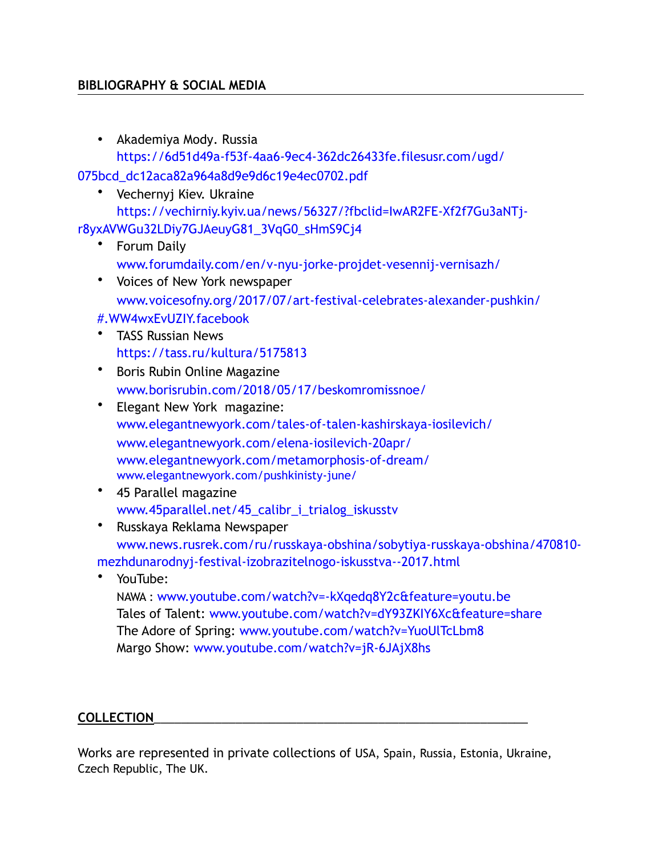### **BIBLIOGRAPHY & SOCIAL MEDIA**

• Akademiya Mody. Russia [https://6d51d49a-f53f-4aa6-9ec4-362dc26433fe.filesusr.com/ugd/](https://6d51d49a-f53f-4aa6-9ec4-362dc26433fe.filesusr.com/ugd/075bcd_dc12aca82a964a8d9e9d6c19e4ec0702.pdf)

[075bcd\\_dc12aca82a964a8d9e9d6c19e4ec0702.pdf](https://6d51d49a-f53f-4aa6-9ec4-362dc26433fe.filesusr.com/ugd/075bcd_dc12aca82a964a8d9e9d6c19e4ec0702.pdf)

• Vechernyj Kiev. Ukraine

[https://vechirniy.kyiv.ua/news/56327/?fbclid=IwAR2FE-Xf2f7Gu3aNTj](https://vechirniy.kyiv.ua/news/56327/?fbclid=IwAR2FE-Xf2f7Gu3aNTj-r8yxAVWGu32LDiy7GJAeuyG81_3VqG0_sHmS9Cj4)[r8yxAVWGu32LDiy7GJAeuyG81\\_3VqG0\\_sHmS9Cj4](https://vechirniy.kyiv.ua/news/56327/?fbclid=IwAR2FE-Xf2f7Gu3aNTj-r8yxAVWGu32LDiy7GJAeuyG81_3VqG0_sHmS9Cj4)

- Forum Daily [www.forumdaily.com/en/v-nyu-jorke-projdet-vesennij-vernisazh/](https://www.forumdaily.com/en/v-nyu-jorke-projdet-vesennij-vernisazh/)
- Voices of New York newspaper [www.voicesofny.org/2017/07/art-festival-celebrates-alexander-pushkin/](http://www.voicesofny.org/2017/07/art-festival-celebrates-alexander-pushkin/#.WW4wxEvUZIY.facebook)
- [#.WW4wxEvUZIY.facebook](http://www.voicesofny.org/2017/07/art-festival-celebrates-alexander-pushkin/#.WW4wxEvUZIY.facebook)
- TASS Russian News <https://tass.ru/kultura/5175813>
- Boris Rubin Online Magazine [www.borisrubin.com/2018/05/17/beskomromissnoe/](http://www.borisrubin.com/2018/05/17/beskomromissnoe/)
- Elegant New York magazine: [www.elegantnewyork.com/tales-of-talen-kashirskaya-iosilevich/](http://www.elegantnewyork.com/tales-of-talen-kashirskaya-iosilevich/) [www.elegantnewyork.com/elena-iosilevich-20apr/](http://www.elegantnewyork.com/elena-iosilevich-20apr/) [www.elegantnewyork.com/metamorphosis-of-dream/](http://www.elegantnewyork.com/metamorphosis-of-dream/) [www.elegantnewyork.com/pushkinisty-june/](http://www.elegantnewyork.com/pushkinisty-june/)
- 45 Parallel magazine [www.45parallel.net/45\\_calibr\\_i\\_trialog\\_iskusstv](http://www.45parallel.net/45_calibr_i_trialog_iskusstv)
- Russkaya Reklama Newspaper [www.news.rusrek.com/ru/russkaya-obshina/sobytiya-russkaya-obshina/470810](http://www.news.rusrek.com/ru/russkaya-obshina/sobytiya-russkaya-obshina/470810-mezhdunarodnyj-festival-izobrazitelnogo-iskusstva--2017.html) [mezhdunarodnyj-festival-izobrazitelnogo-iskusstva--2017.html](http://www.news.rusrek.com/ru/russkaya-obshina/sobytiya-russkaya-obshina/470810-mezhdunarodnyj-festival-izobrazitelnogo-iskusstva--2017.html)
- YouTube: NAWA : [www.youtube.com/watch?v=-kXqedq8Y2c&feature=youtu.be](http://www.youtube.com/watch?v=-kXqedq8Y2c&feature=youtu.be) Tales of Talent: [www.youtube.com/watch?v=dY93ZKIY6Xc&feature=share](http://www.youtube.com/watch?v=dY93ZKIY6Xc&feature=share) The Adore of Spring: [www.youtube.com/watch?v=YuoUlTcLbm8](http://www.youtube.com/watch?v=YuoUlTcLbm8) Margo Show: [www.youtube.com/watch?v=jR-6JAjX8hs](http://www.youtube.com/watch?v=jR-6JAjX8hs)

## **COLLECTION**\_\_\_\_\_\_\_\_\_\_\_\_\_\_\_\_\_\_\_\_\_\_\_\_\_\_\_\_\_\_\_\_\_\_\_\_\_\_\_\_\_\_\_\_\_\_\_\_\_\_\_\_\_\_\_

Works are represented in private collections of USA, Spain, Russia, Estonia, Ukraine, Czech Republic, The UK.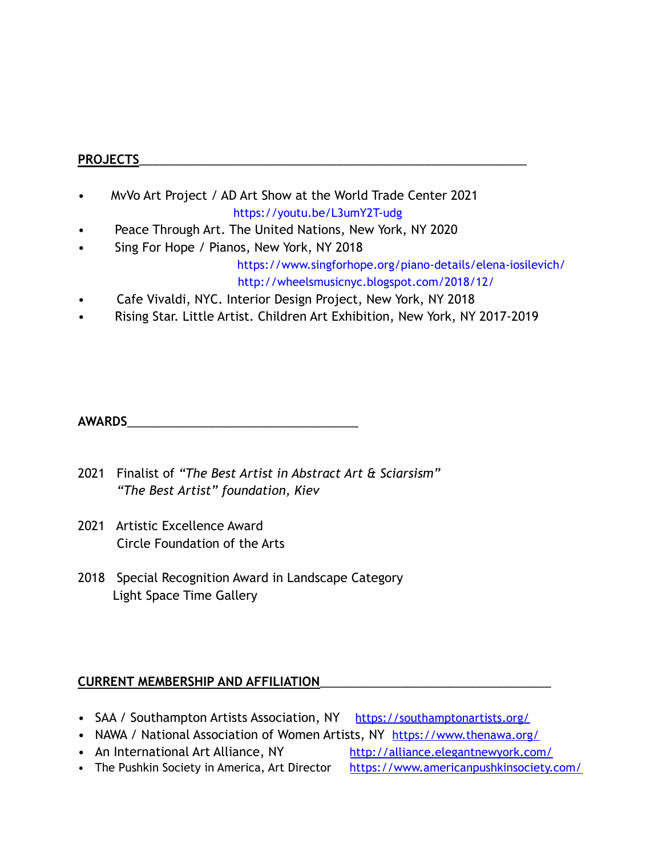### **PROJECTS**\_\_\_\_\_\_\_\_\_\_\_\_\_\_\_\_\_\_\_\_\_\_\_\_\_\_\_\_\_\_\_\_\_\_\_\_\_\_\_\_\_\_\_\_\_\_\_\_\_\_\_\_\_\_\_\_\_

- MvVo Art Project / AD Art Show at the World Trade Center 2021 [https://youtu.be/L3umY2T-udg](https://https://youtu.be/L3umY2T-udg/piano-details/elena-iosilevich/)
- Peace Through Art. The United Nations, New York, NY 2020
- Sing For Hope / Pianos, New York, NY 2018

<https://www.singforhope.org/piano-details/elena-iosilevich/> <http://wheelsmusicnyc.blogspot.com/2018/12/>

- Cafe Vivaldi, NYC. Interior Design Project, New York, NY 2018
- Rising Star. Little Artist. Children Art Exhibition, New York, NY 2017-2019

**AWARDS**\_\_\_\_\_\_\_\_\_\_\_\_\_\_\_\_\_\_\_\_\_\_\_\_\_\_\_\_\_\_\_\_\_\_

- 2021 Finalist of *"The Best Artist in Abstract Art & Sciarsism" "The Best Artist" foundation, Kiev*
- 2021 Artistic Excellence Award Circle Foundation of the Arts
- 2018 Special Recognition Award in Landscape Category Light Space Time Gallery

## **CURRENT MEMBERSHIP AND AFFILIATION**\_\_\_\_\_\_\_\_\_\_\_\_\_\_\_\_\_\_\_\_\_\_\_\_\_\_\_\_\_\_\_\_\_\_

- SAA / Southampton Artists Association, NY <https://southamptonartists.org/>
- NAWA / National Association of Women Artists, NY <https://www.thenawa.org/>
- An International Art Alliance, NY <http://alliance.elegantnewyork.com/>

• The Pushkin Society in America, Art Director <https://www.americanpushkinsociety.com/>